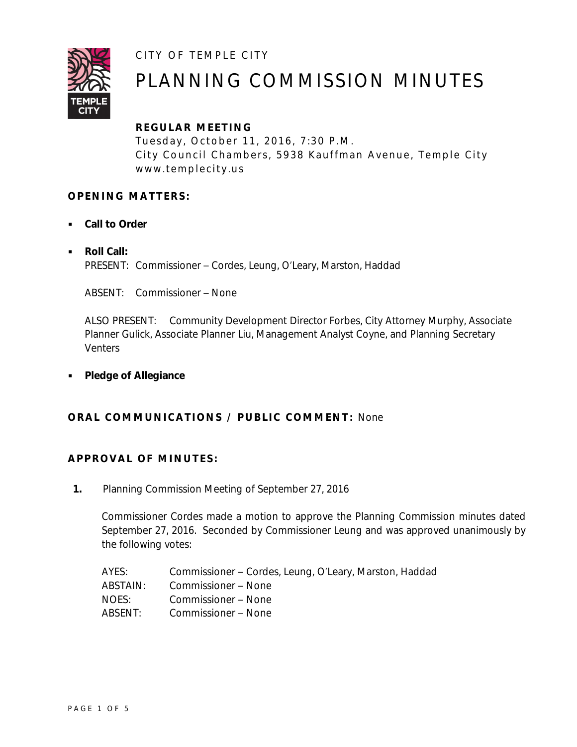CITY OF TEMPLE CITY



# PLANNING COMMISSION MINUTES

# **REGULAR ME ETING**

Tuesday, October 11, 2016, 7:30 P.M. City Council Chambers, 5938 Kauffman Avenue, Temple City www.templecity.us

# **OPENING MATTERS:**

- **Call to Order**
- **Roll Call:** PRESENT: Commissioner – Cordes, Leung, O'Leary, Marston, Haddad

ABSENT: Commissioner – None

ALSO PRESENT: Community Development Director Forbes, City Attorney Murphy, Associate Planner Gulick, Associate Planner Liu, Management Analyst Coyne, and Planning Secretary **Venters** 

**Pledge of Allegiance**

# **ORAL COMMUNICATIONS / PUBLIC COMMENT: None**

# **APPROVAL OF MINUTES:**

**1.** Planning Commission Meeting of September 27, 2016

Commissioner Cordes made a motion to approve the Planning Commission minutes dated September 27, 2016. Seconded by Commissioner Leung and was approved unanimously by the following votes:

| AYES:     | Commissioner – Cordes, Leung, O'Leary, Marston, Haddad |
|-----------|--------------------------------------------------------|
| ABSTAIN:  | Commissioner – None                                    |
| NOES:     | Commissioner – None                                    |
| ABSENT: I | Commissioner – None                                    |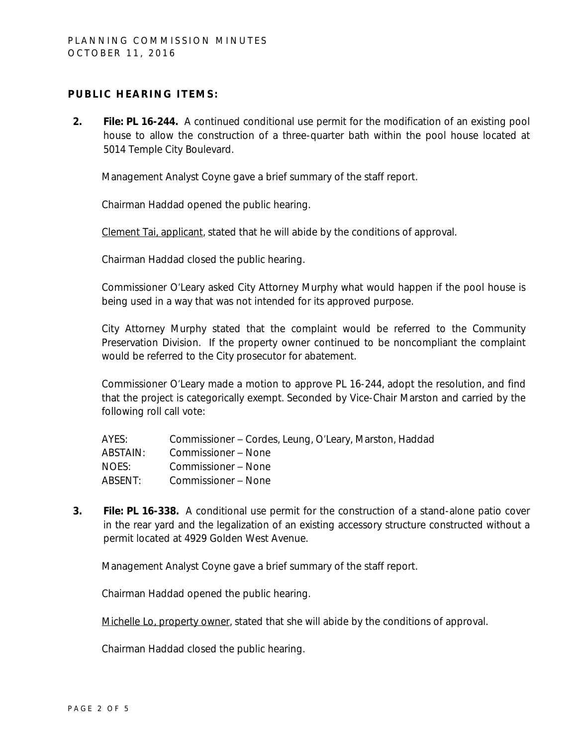## **PUBLIC HEARING ITEMS:**

**2. File: PL 16-244.** A continued conditional use permit for the modification of an existing pool house to allow the construction of a three-quarter bath within the pool house located at 5014 Temple City Boulevard.

Management Analyst Coyne gave a brief summary of the staff report.

Chairman Haddad opened the public hearing.

Clement Tai, applicant, stated that he will abide by the conditions of approval.

Chairman Haddad closed the public hearing.

Commissioner O'Leary asked City Attorney Murphy what would happen if the pool house is being used in a way that was not intended for its approved purpose.

City Attorney Murphy stated that the complaint would be referred to the Community Preservation Division. If the property owner continued to be noncompliant the complaint would be referred to the City prosecutor for abatement.

Commissioner O'Leary made a motion to approve PL 16-244, adopt the resolution, and find that the project is categorically exempt. Seconded by Vice-Chair Marston and carried by the following roll call vote:

| AYES:    | Commissioner – Cordes, Leung, O'Leary, Marston, Haddad |
|----------|--------------------------------------------------------|
| ABSTAIN: | Commissioner – None                                    |
| NOES:    | Commissioner - None                                    |
| ABSENT:  | Commissioner – None                                    |

**3. File: PL 16-338.** A conditional use permit for the construction of a stand-alone patio cover in the rear yard and the legalization of an existing accessory structure constructed without a permit located at 4929 Golden West Avenue.

Management Analyst Coyne gave a brief summary of the staff report.

Chairman Haddad opened the public hearing.

Michelle Lo, property owner, stated that she will abide by the conditions of approval.

Chairman Haddad closed the public hearing.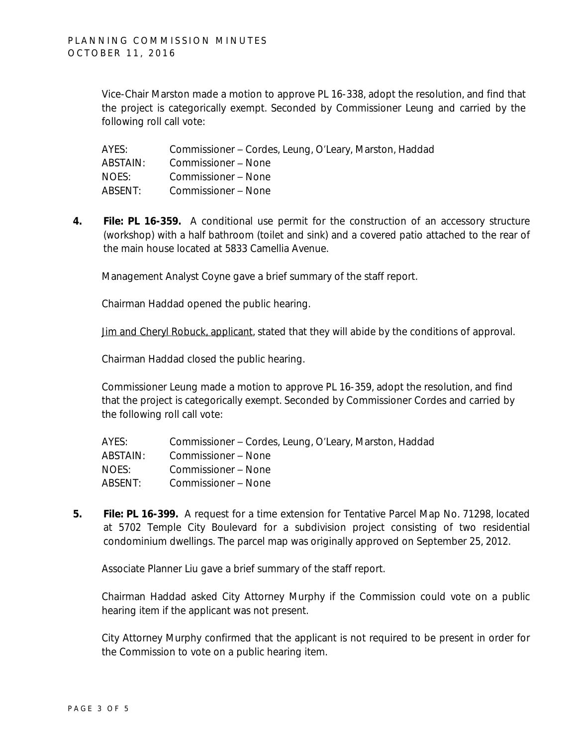Vice-Chair Marston made a motion to approve PL 16-338, adopt the resolution, and find that the project is categorically exempt. Seconded by Commissioner Leung and carried by the following roll call vote:

| AYES:    | Commissioner – Cordes, Leung, O'Leary, Marston, Haddad |
|----------|--------------------------------------------------------|
| ABSTAIN: | Commissioner – None                                    |
| NOES:    | Commissioner – None                                    |
| ABSENT:  | Commissioner – None                                    |

**4. File: PL 16-359.** A conditional use permit for the construction of an accessory structure (workshop) with a half bathroom (toilet and sink) and a covered patio attached to the rear of the main house located at 5833 Camellia Avenue.

Management Analyst Coyne gave a brief summary of the staff report.

Chairman Haddad opened the public hearing.

Jim and Cheryl Robuck, applicant, stated that they will abide by the conditions of approval.

Chairman Haddad closed the public hearing.

Commissioner Leung made a motion to approve PL 16-359, adopt the resolution, and find that the project is categorically exempt. Seconded by Commissioner Cordes and carried by the following roll call vote:

| AYES:    | Commissioner – Cordes, Leung, O'Leary, Marston, Haddad |
|----------|--------------------------------------------------------|
| ABSTAIN: | Commissioner – None                                    |
| NOES:    | Commissioner – None                                    |
| ABSENT:  | Commissioner – None                                    |

**5. File: PL 16-399.** A request for a time extension for Tentative Parcel Map No. 71298, located at 5702 Temple City Boulevard for a subdivision project consisting of two residential condominium dwellings. The parcel map wa*s* originally approved on September 25, 2012.

Associate Planner Liu gave a brief summary of the staff report.

Chairman Haddad asked City Attorney Murphy if the Commission could vote on a public hearing item if the applicant was not present.

City Attorney Murphy confirmed that the applicant is not required to be present in order for the Commission to vote on a public hearing item.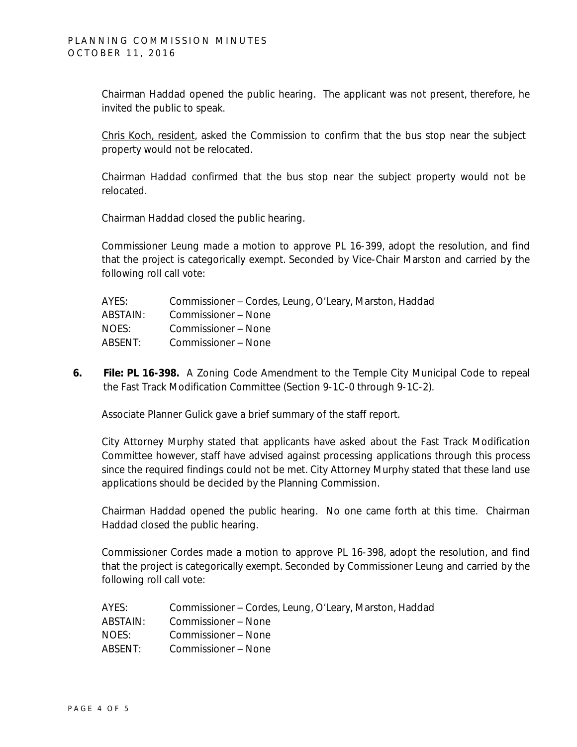Chairman Haddad opened the public hearing. The applicant was not present, therefore, he invited the public to speak.

Chris Koch, resident, asked the Commission to confirm that the bus stop near the subject property would not be relocated.

Chairman Haddad confirmed that the bus stop near the subject property would not be relocated.

Chairman Haddad closed the public hearing.

Commissioner Leung made a motion to approve PL 16-399, adopt the resolution, and find that the project is categorically exempt. Seconded by Vice-Chair Marston and carried by the following roll call vote:

| AYES:    | Commissioner – Cordes, Leung, O'Leary, Marston, Haddad |
|----------|--------------------------------------------------------|
| ABSTAIN: | Commissioner – None                                    |
| NOES:    | Commissioner – None                                    |
| ABSENT:  | Commissioner – None                                    |

**6. File: PL 16-398.** A Zoning Code Amendment to the Temple City Municipal Code to repeal the Fast Track Modification Committee (Section 9-1C-0 through 9-1C-2).

Associate Planner Gulick gave a brief summary of the staff report.

City Attorney Murphy stated that applicants have asked about the Fast Track Modification Committee however, staff have advised against processing applications through this process since the required findings could not be met. City Attorney Murphy stated that these land use applications should be decided by the Planning Commission.

Chairman Haddad opened the public hearing. No one came forth at this time. Chairman Haddad closed the public hearing.

Commissioner Cordes made a motion to approve PL 16-398, adopt the resolution, and find that the project is categorically exempt. Seconded by Commissioner Leung and carried by the following roll call vote:

| AYES:    | Commissioner – Cordes, Leung, O'Leary, Marston, Haddad |
|----------|--------------------------------------------------------|
| ABSTAIN: | Commissioner – None                                    |
| NOES:    | Commissioner – None                                    |
| ABSENT:  | Commissioner – None                                    |